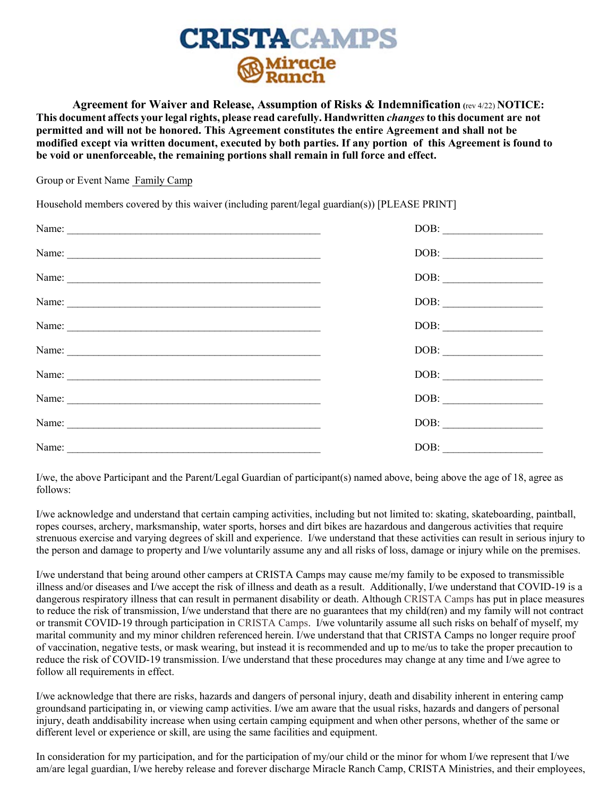

**Agreement for Waiver and Release, Assumption of Risks & Indemnification (**rev 4/22) **NOTICE: This document affects your legal rights, please read carefully. Handwritten** *changes* **to this document are not permitted and will not be honored. This Agreement constitutes the entire Agreement and shall not be modified except via written document, executed by both parties. If any portion of this Agreement is found to be void or unenforceable, the remaining portions shall remain in full force and effect.**

Group or Event Name Family Camp

Household members covered by this waiver (including parent/legal guardian(s)) [PLEASE PRINT]

|                                                                                                                                                                                                                                                                                                                                                                                                               | $\boxed{\text{DOB:}\xrightarrow{\hspace{0.5cm}}\text{DOB:}\xrightarrow{\hspace{0.5cm}}\text{DOB:}\xrightarrow{\hspace{0.5cm}}\text{DOB:}\xrightarrow{\hspace{0.5cm}}\text{DOB:}\xrightarrow{\hspace{0.5cm}}\text{DOB:}\xrightarrow{\hspace{0.5cm}}\text{DOB:}\xrightarrow{\hspace{0.5cm}}\text{DOB:}\xrightarrow{\hspace{0.5cm}}\text{DOB:}\xrightarrow{\hspace{0.5cm}}\text{DOB:}\xrightarrow{\hspace{0.5cm}}\text{DOB:}\xrightarrow{\hspace{0.5cm}}\text{DOB:}\xrightarrow{\hspace{0.5cm}}\text$ |
|---------------------------------------------------------------------------------------------------------------------------------------------------------------------------------------------------------------------------------------------------------------------------------------------------------------------------------------------------------------------------------------------------------------|----------------------------------------------------------------------------------------------------------------------------------------------------------------------------------------------------------------------------------------------------------------------------------------------------------------------------------------------------------------------------------------------------------------------------------------------------------------------------------------------------|
|                                                                                                                                                                                                                                                                                                                                                                                                               |                                                                                                                                                                                                                                                                                                                                                                                                                                                                                                    |
| Name: $\frac{1}{\sqrt{1-\frac{1}{2}}\sqrt{1-\frac{1}{2}}\sqrt{1-\frac{1}{2}}\sqrt{1-\frac{1}{2}}\sqrt{1-\frac{1}{2}}\sqrt{1-\frac{1}{2}}\sqrt{1-\frac{1}{2}}\sqrt{1-\frac{1}{2}}\sqrt{1-\frac{1}{2}}\sqrt{1-\frac{1}{2}}\sqrt{1-\frac{1}{2}}\sqrt{1-\frac{1}{2}}\sqrt{1-\frac{1}{2}}\sqrt{1-\frac{1}{2}}\sqrt{1-\frac{1}{2}}\sqrt{1-\frac{1}{2}}\sqrt{1-\frac{1}{2}}\sqrt{1-\frac{1}{2}}\sqrt{1-\frac{1}{2}}$ | $\boxed{\text{DOB:}\n \begin{picture}(10,0) \label{fig:2} \put(0,0){\dashbox{0.5}(10,0){ }} \put(0,0){\dashbox{0.5}(10,0){ }} \put(15,0){\dashbox{0.5}(10,0){ }} \put(15,0){\dashbox{0.5}(10,0){ }} \put(15,0){\dashbox{0.5}(10,0){ }} \put(15,0){\dashbox{0.5}(10,0){ }} \put(15,0){\dashbox{0.5}(10,0){ }} \put(15,0){\dashbox{0.5}(10,0){ }} \put(15,0){\dashbox{0.5}(10,$                                                                                                                      |
|                                                                                                                                                                                                                                                                                                                                                                                                               | $\boxed{\text{DOB:}\qquad \qquad }$                                                                                                                                                                                                                                                                                                                                                                                                                                                                |
| Name: $\frac{1}{\sqrt{1-\frac{1}{2}}\sqrt{1-\frac{1}{2}}\sqrt{1-\frac{1}{2}}\sqrt{1-\frac{1}{2}}\sqrt{1-\frac{1}{2}}\sqrt{1-\frac{1}{2}}\sqrt{1-\frac{1}{2}}\sqrt{1-\frac{1}{2}}\sqrt{1-\frac{1}{2}}\sqrt{1-\frac{1}{2}}\sqrt{1-\frac{1}{2}}\sqrt{1-\frac{1}{2}}\sqrt{1-\frac{1}{2}}\sqrt{1-\frac{1}{2}}\sqrt{1-\frac{1}{2}}\sqrt{1-\frac{1}{2}}\sqrt{1-\frac{1}{2}}\sqrt{1-\frac{1}{2}}\sqrt{1-\frac{1}{2}}$ |                                                                                                                                                                                                                                                                                                                                                                                                                                                                                                    |
|                                                                                                                                                                                                                                                                                                                                                                                                               |                                                                                                                                                                                                                                                                                                                                                                                                                                                                                                    |
|                                                                                                                                                                                                                                                                                                                                                                                                               |                                                                                                                                                                                                                                                                                                                                                                                                                                                                                                    |
|                                                                                                                                                                                                                                                                                                                                                                                                               | DOB:                                                                                                                                                                                                                                                                                                                                                                                                                                                                                               |
|                                                                                                                                                                                                                                                                                                                                                                                                               | DOB:                                                                                                                                                                                                                                                                                                                                                                                                                                                                                               |
| Name:                                                                                                                                                                                                                                                                                                                                                                                                         | DOB:                                                                                                                                                                                                                                                                                                                                                                                                                                                                                               |

I/we, the above Participant and the Parent/Legal Guardian of participant(s) named above, being above the age of 18, agree as follows:

I/we acknowledge and understand that certain camping activities, including but not limited to: skating, skateboarding, paintball, ropes courses, archery, marksmanship, water sports, horses and dirt bikes are hazardous and dangerous activities that require strenuous exercise and varying degrees of skill and experience. I/we understand that these activities can result in serious injury to the person and damage to property and I/we voluntarily assume any and all risks of loss, damage or injury while on the premises.

I/we understand that being around other campers at CRISTA Camps may cause me/my family to be exposed to transmissible illness and/or diseases and I/we accept the risk of illness and death as a result. Additionally, I/we understand that COVID-19 is a dangerous respiratory illness that can result in permanent disability or death. Although CRISTA Camps has put in place measures to reduce the risk of transmission, I/we understand that there are no guarantees that my child(ren) and my family will not contract or transmit COVID-19 through participation in CRISTA Camps. I/we voluntarily assume all such risks on behalf of myself, my marital community and my minor children referenced herein. I/we understand that that CRISTA Camps no longer require proof of vaccination, negative tests, or mask wearing, but instead it is recommended and up to me/us to take the proper precaution to reduce the risk of COVID-19 transmission. I/we understand that these procedures may change at any time and I/we agree to follow all requirements in effect.

I/we acknowledge that there are risks, hazards and dangers of personal injury, death and disability inherent in entering camp grounds and participating in, or viewing camp activities. I/we am aware that the usual risks, hazards and dangers of personal injury, death and disability increase when using certain camping equipment and when other persons, whether of the same or different level or experience or skill, are using the same facilities and equipment.

In consideration for my participation, and for the participation of my/our child or the minor for whom I/we represent that I/we am/are legal guardian, I/we hereby release and forever discharge Miracle Ranch Camp, CRISTA Ministries, and their employees,